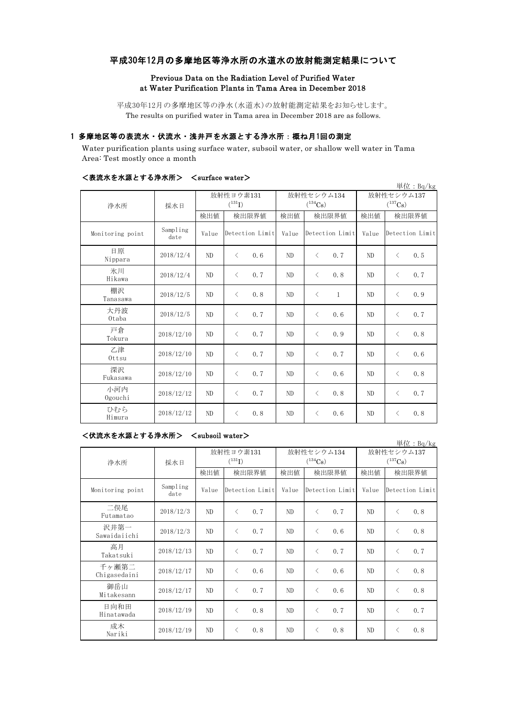# 平成30年12月の多摩地区等浄水所の水道水の放射能測定結果について

# Previous Data on the Radiation Level of Purified Water at Water Purification Plants in Tama Area in December 2018

平成30年12月の多摩地区等の浄水(水道水)の放射能測定結果をお知らせします。 The results on purified water in Tama area in December 2018 are as follows.

## 1 多摩地区等の表流水・伏流水・浅井戸を水源とする浄水所:概ね月1回の測定

Water purification plants using surface water, subsoil water, or shallow well water in Tama Area: Test mostly once a month

|                  |                  |       |                   |       |                           |              | 単位: Bq/kg         |  |
|------------------|------------------|-------|-------------------|-------|---------------------------|--------------|-------------------|--|
| 浄水所              | 採水日              |       | 放射性ヨウ素131         |       | 放射性セシウム134                | 放射性セシウム137   |                   |  |
|                  |                  |       | $(^{131}I)$       |       | $(^{134}Cs)$              | $(^{137}Cs)$ |                   |  |
|                  |                  | 検出値   | 検出限界値             | 検出値   | 検出限界値                     | 検出値          | 検出限界値             |  |
| Monitoring point | Sampling<br>date | Value | Detection Limit   | Value | Detection Limit           | Value        | Detection Limit   |  |
| 日原<br>Nippara    | 2018/12/4        | ND    | 0.6<br>$\lt$      | ND    | 0.7<br>$\langle$          | ND           | 0.5<br>$\langle$  |  |
| 氷川<br>Hikawa     | 2018/12/4        | ND    | 0, 7<br>$\langle$ | ND.   | $\langle$<br>0.8          | ND           | $\langle$<br>0.7  |  |
| 棚沢<br>Tanasawa   | 2018/12/5        | ND    | $\langle$<br>0.8  | ND    | $\langle$<br>$\mathbf{1}$ | ND           | $\langle$<br>0.9  |  |
| 大丹波<br>Otaba     | 2018/12/5        | ND    | 0, 7<br>$\langle$ | ND    | $\langle$<br>0.6          | ND           | 0.7<br>$\langle$  |  |
| 戸倉<br>Tokura     | 2018/12/10       | ND.   | 0, 7<br>$\langle$ | ND.   | $\lt$<br>0.9              | ND           | 0.8<br>$\langle$  |  |
| 乙津<br>Ottsu      | 2018/12/10       | ND    | 0, 7<br>$\langle$ | ND    | $\lt$<br>0.7              | ND           | $\langle$<br>0, 6 |  |
| 深沢<br>Fukasawa   | 2018/12/10       | ND    | 0, 7<br>$\langle$ | ND    | $\lt$<br>0.6              | ND           | $\langle$<br>0.8  |  |
| 小河内<br>Ogouchi   | 2018/12/12       | ND    | 0.7<br>$\langle$  | ND    | $\langle$<br>0.8          | ND           | 0.7<br>$\langle$  |  |
| ひむら<br>Himura    | 2018/12/12       | ND    | 0.8<br>$\langle$  | ND    | 0.6<br>$\langle$          | ND           | 0, 8<br>$\langle$ |  |

#### <表流水を水源とする浄水所> <surface water>

### <伏流水を水源とする浄水所> <subsoil water>

単位:Bq/kg 検出値 検出限界値 検出値 検出値 検出値 Monitoring point Sampling<br>date Value Detection Limit Value Detection Limit Value 二俣尾 — Ever 2018/12/3 ND < 0.7 ND < 0.7 ND < 0.8 沢井第一 Sawaidaiichi 2018/12/3 ND <sup>&</sup>lt; 0.7 ND <sup>&</sup>lt; 0.6 ND <sup>&</sup>lt; 0.8 高月  $T_{\rm{Rkatsuki}}$  2018/12/13 ND < 0.7 ND < 0.7 ND < 0.7 千ヶ瀬第二 Chigasedaini 2018/12/17 ND <sup>&</sup>lt; 0.6 ND <sup>&</sup>lt; 0.6 ND <sup>&</sup>lt; 0.8 御岳山 Mitakesann 2018/12/17 ND <sup>&</sup>lt; 0.7 ND <sup>&</sup>lt; 0.6 ND <sup>&</sup>lt; 0.8 日向和田 Hinatawada 2018/12/19 ND <sup>&</sup>lt; 0.8 ND <sup>&</sup>lt; 0.7 ND <sup>&</sup>lt; 0.7 成木  $\frac{1}{2018}$  2018/12/19 ND < 0.8 ND < 0.8 ND < 0.8 放射性ヨウ素131  $(131)$ 放射性セシウム134  $(134)$ Cs) 放射性セシウム137  $(^{137}Cs)$ 検出限界値 | 検出値 | 検出限界値 Detection Limit Value Detection Limit 浄水所 採水日